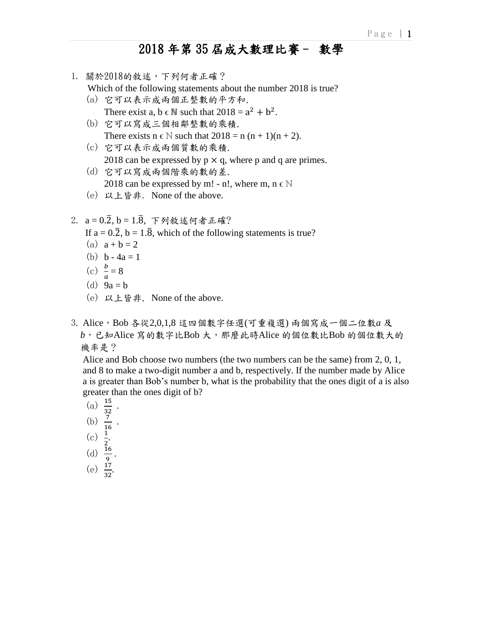- 1. 關於2018的敘述,下列何者正確?
	- Which of the following statements about the number 2018 is true?
	- (a) 它可以表示成兩個正整數的平方和. There exist a,  $b \in \mathbb{N}$  such that  $2018 = a^2 + b^2$ .
	- (b) 它可以寫成三個相鄰整數的乘積. There exists  $n \in \mathbb{N}$  such that  $2018 = n(n + 1)(n + 2)$ .
	- (c) 它可以表示成兩個質數的乘積. 2018 can be expressed by  $p \times q$ , where p and q are primes.
	- (d) 它可以寫成兩個階乘的數的差. 2018 can be expressed by m! - n!, where m,  $n \in \mathbb{N}$
	- (e) 以上皆非. None of the above.
- $2. a = 0.\overline{2}, b = 1.\overline{8}, \overline{7}$ 列敘述何者正確?
	- If  $a = 0.\overline{2}$ ,  $b = 1.\overline{8}$ , which of the following statements is true?
	- (a)  $a + b = 2$
	- (b)  $b 4a = 1$
- (c)  $\frac{b}{c}$  $\frac{b}{a} = 8$ 
	- (d)  $9a = b$
	- (e) 以上皆非. None of the above.
- 3. Alice, Bob 各從2,0,1,8 這四個數字任選(可重複選) 兩個寫成一個二位數a 及  *b*,已知Alice 寫的數字比Bob 大,那麼此時Alice 的個位數比Bob 的個位數大的 機率是?

 Alice and Bob choose two numbers (the two numbers can be the same) from 2, 0, 1, and 8 to make a two-digit number a and b, respectively. If the number made by Alice a is greater than Bob's number b, what is the probability that the ones digit of a is also greater than the ones digit of b?

- (a)  $\frac{15}{32}$ .
- (b)  $\frac{7}{16}$ .
- (c)  $\frac{1}{2}$ .
- (d)  $\frac{16}{9}$ .
	-
- (e)  $\frac{17}{32}$ .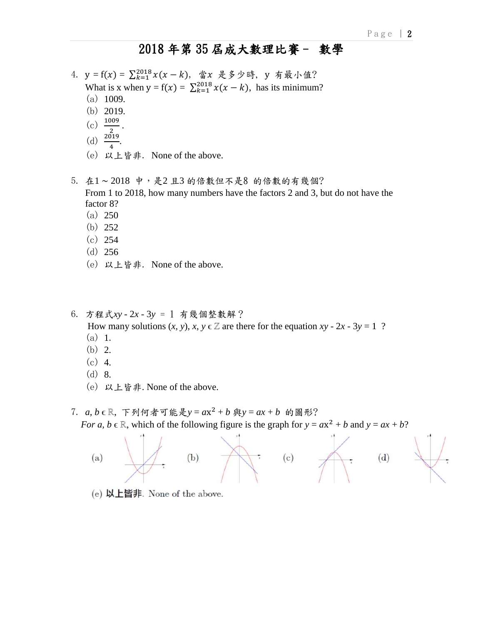- 4.  $y = f(x) = \sum_{k=1}^{2018} x(x k)$ , 當x 是多少時, y 有最小值? What is x when  $y = f(x) = \sum_{k=1}^{2018} x(x - k)$ , has its minimum?
	- (a) 1009.
	- (b) 2019.
	-
- (c)  $\frac{1009}{2}$ .
- (d)  $\frac{2019}{4}$ .
	- (e) 以上皆非. None of the above.

5. 在1~2018 中,是2且3的倍數但不是8 的倍數的有幾個? From 1 to 2018, how many numbers have the factors 2 and 3, but do not have the factor 8?

- (a) 250
- (b) 252
- (c) 254
- (d) 256
- (e) 以上皆非. None of the above.

6. 方程式*xy -* 2*x -* 3*y* = 1 有幾個整數解?

How many solutions  $(x, y)$ ,  $x, y \in \mathbb{Z}$  are there for the equation  $xy - 2x - 3y = 1$  ?

- (a) 1.
- (b) 2.
- (c) 4.
- (d) 8.
- (e) 以上皆非. None of the above.

7. *a*, *b* ∈ ℝ, 下列何者可能是y = ax<sup>2</sup> + *b* 與y = ax + *b* 的圖形? *For a, b*  $\in \mathbb{R}$ , which of the following figure is the graph for  $y = ax^2 + b$  and  $y = ax + b$ ?



(e) 以上皆非. None of the above.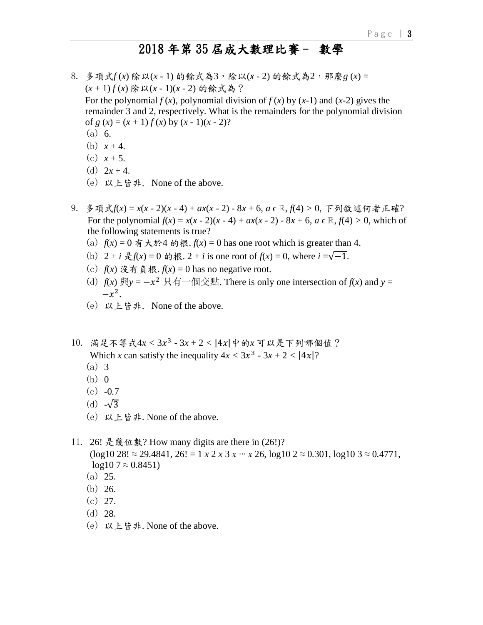- 8. 多項式*f* (*x*) 除以(*x -* 1) 的餘式為3,除以(*x -* 2) 的餘式為2,那麼*g* (*x*) = (*x* + 1) *f* (*x*) 除以(*x -* 1)(*x -* 2) 的餘式為? For the polynomial  $f(x)$ , polynomial division of  $f(x)$  by  $(x-1)$  and  $(x-2)$  gives the remainder 3 and 2, respectively. What is the remainders for the polynomial division of  $g(x) = (x + 1) f(x)$  by  $(x - 1)(x - 2)$ ? (a) 6.
	- (b)  $x + 4$ .
	- (c)  $x + 5$ .
	- (d)  $2x + 4$ .
	- (e) 以上皆非. None of the above.
- 9. 多項式*f*(*x*) = *x*(*x -* 2)(*x -* 4) + *ax*(*x -* 2) *-* 8*x* + 6, *a* ϵ ℝ, *f*(4) *>* 0, 下列敘述何者正確? For the polynomial  $f(x) = x(x - 2)(x - 4) + ax(x - 2) - 8x + 6$ ,  $a \in \mathbb{R}, f(4) > 0$ , which of the following statements is true?
	- (a)  $f(x) = 0$  有大於4 的根.  $f(x) = 0$  has one root which is greater than 4.
	- (b)  $2 + i \frac{1}{2}f(x) = 0$  的根.  $2 + i$  is one root of  $f(x) = 0$ , where  $i = \sqrt{-1}$ .
	- (c)  $f(x)$  沒有負根.  $f(x) = 0$  has no negative root.
- (d)  $f(x) \ncong y = -x^2 \ncong f^{-1} \ncong f^{-1} \ncong f^{-1} \ncong f^{-1} \ncong f^{-1} \ncong f^{-1} \ncong f^{-1} \ncong f^{-1} \ncong f^{-1} \ncong f^{-1} \ncong f^{-1} \ncong f^{-1} \ncong f^{-1} \ncong f^{-1} \ncong f^{-1} \ncong f^{-1} \ncong f^{-1} \ncong f^{-1} \ncong f^{-1} \ncong f^{-1} \ncong f^{-1} \ncong f^{-1} \ncong f^{-1} \ncong f^{-1} \ncong f^{-1} \n$  $-x^2$ .
	- (e) 以上皆非. None of the above.
- 10. 滿足不等式4*x <* 3 3 *-* 3*x* + 2 *<* |4|中的*x* 可以是下列哪個值? Which *x* can satisfy the inequality  $4x < 3x^3 - 3x + 2 < |4x|$ ?
	- (a) 3
	- $(b)$  0
	- (c) *-*0*.*7
	- (d) *-*√3
	- (e) 以上皆非. None of the above.
- 11. 26! 是幾位數? How many digits are there in (26!)? (log10 28! ≈ 29*.*4841, 26! = 1 *x* 2 *x* 3 *x ∙∙∙ x* 26, log10 2 ≈ 0*.*301, log10 3 ≈ 0*.*4771,  $log 10.7 \approx 0.8451$ 
	- (a) 25.
	- (b) 26.
	- (c) 27.
	- (d) 28.
	- (e) 以上皆非. None of the above.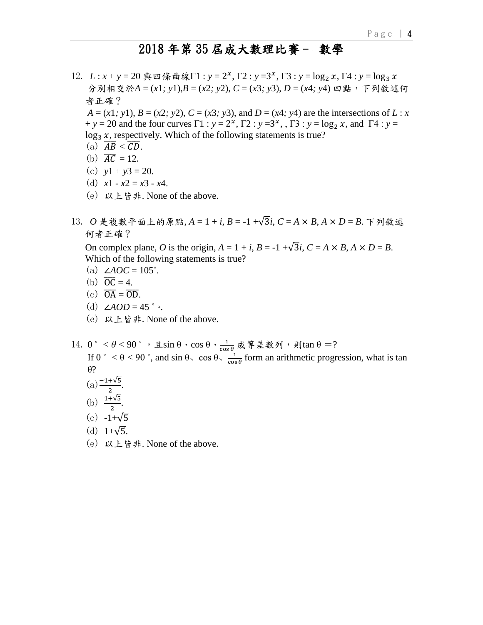12. L: x + y = 20 與四條曲線Γ1: y = 2<sup>x</sup>, Γ2: y = 3<sup>x</sup>, Γ3: y = log<sub>2</sub> x, Γ4: y = log<sub>3</sub> x 分別相交於*A* = (*x*1*; y*1),*B* = (*x*2*; y*2), *C* = (*x*3*; y*3), *D* = (*x*4*; y*4) 四點,下列敘述何 者正確?

*A* = (*x*1*;* y1), *B* = (*x*2*;* y2), *C* = (*x*3*;* y3), and *D* = (*x*4*;* y4) are the intersections of *L* : *x*  $+y = 20$  and the four curves  $\Gamma 1 : y = 2^x$ ,  $\Gamma 2 : y = 3^x$ ,  $\Gamma 3 : y = \log_2 x$ , and  $\Gamma 4 : y = 2^x$  $\log_3 x$ , respectively. Which of the following statements is true?

- (a)  $\overline{AB} < \overline{CD}$ .
- (b)  $\overline{AC} = 12$ .
- (c)  $y1 + y3 = 20$ .
- (d)  $x1 x2 = x3 x4$ .
- (e) 以上皆非. None of the above.
- 13. *O* 是複數平面上的原點, *A* = 1 + *i*, *B* = *-*1 +√3*i*, *C* = *A* × *B*, *A* × *D* = *B*. 下列敘述 何者正確?

On complex plane, *O* is the origin,  $A = 1 + i$ ,  $B = -1 + \sqrt{3}i$ ,  $C = A \times B$ ,  $A \times D = B$ . Which of the following statements is true?

- (a)  $\angle AOC = 105^\circ$ .
- (b)  $\overline{OC} = 4$ .
- (c)  $\overline{OA} = \overline{OD}$ .
- (d)  $\angle AOD = 45$  °  $\circ$ .
- (e) 以上皆非. None of the above.
- $14. 0 \degree < \theta < 90 \degree$ , 且sin θ、cos θ、 $\frac{1}{\cos \theta}$  成等差數列, 則tan θ =? If 0  $\degree$  <  $\theta$  < 90  $\degree$ , and sin  $\theta$ , cos  $\theta$ ,  $\frac{1}{\cos \theta}$  form an arithmetic progression, what is tan θ?
- $(a) \frac{-1+\sqrt{5}}{2}$ .
- (b)  $\frac{1+\sqrt{5}}{2}$ .
	- $(c) -1+\sqrt{5}$
	- (d)  $1+\sqrt{5}$ .
	- (e) 以上皆非. None of the above.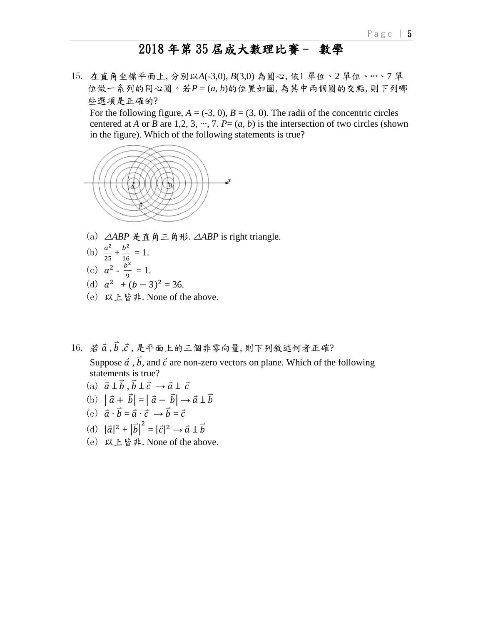15. 在直角坐標平面上, 分別以*A*(*-*3*,*0), *B*(3*,*0) 為圓心, 依1 單位、2 單位、∙∙∙、7 單 位做一系列的同心圓。若*P* = (*a, b*)的位置如圖, 為其中兩個圓的交點, 則下列哪 些選項是正確的?

For the following figure,  $A = (-3, 0)$ ,  $B = (3, 0)$ . The radii of the concentric circles centered at *A* or *B* are 1,2, 3,  $\cdots$ , 7. *P*= (*a*, *b*) is the intersection of two circles (shown in the figure). Which of the following statements is true?



- (a) △*ABP* 是直角三角形. △*ABP* is right triangle.
- (b)  $\frac{a^2}{27}$  $\frac{a^2}{25} + \frac{b^2}{16}$  $\frac{b}{16} = 1.$

(c) 
$$
a^2 - \frac{b^2}{2} =
$$

- $\frac{y}{9} = 1.$
- (d)  $a^2 + (b-3)^2 = 36$ .
	- (e) 以上皆非. None of the above.
- $16. \; \dot{x} \, \vec{a} \cdot \vec{b} \cdot \vec{c} \cdot \vec{x} + \vec{b} \cdot \vec{c} \cdot \vec{c} + \vec{c} \cdot \vec{c} + \vec{c} \cdot \vec{c} + \vec{c} \cdot \vec{c} + \vec{c} \cdot \vec{c} + \vec{c} \cdot \vec{c} + \vec{c} \cdot \vec{c} + \vec{c} \cdot \vec{c} + \vec{c} \cdot \vec{c} + \vec{c} \cdot \vec{c} + \vec{c} \cdot \vec{c} + \vec{c} \cdot \vec{c} + \vec{c} \cdot \vec{c} + \vec{c} \$

Suppose  $\vec{a}$ ,  $\vec{b}$ , and  $\vec{c}$  are non-zero vectors on plane. Which of the following statements is true?

- (a)  $\vec{a} \perp \vec{b}$ ,  $\vec{b} \perp \vec{c}$   $\rightarrow$   $\vec{a} \perp \vec{c}$
- (b)  $|\vec{a} + \vec{b}| = |\vec{a} \vec{b}| \rightarrow \vec{a} \perp \vec{b}$
- (c)  $\vec{a} \cdot \vec{b} = \vec{a} \cdot \vec{c} \rightarrow \vec{b} = \vec{c}$
- (d)  $|\vec{a}|^2 + |\vec{b}|^2 = |\vec{c}|^2 \rightarrow \vec{a} \perp \vec{b}$ 
	- (e) 以上皆非. None of the above.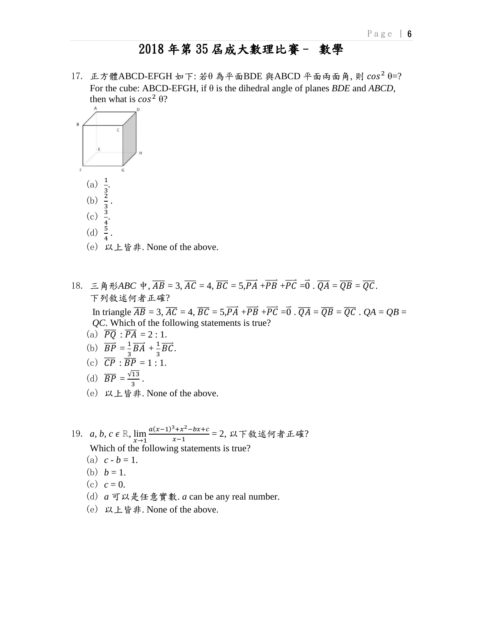$17.$  正方體ABCD-EFGH 如下: 若θ 為平面BDE 與ABCD 平面兩面角, 則  $cos<sup>2</sup> θ=?$  For the cube: ABCD-EFGH, if θ is the dihedral angle of planes *BDE* and *ABCD*, then what is  $cos^2 \theta$ ?



- (e) 以上皆非. None of the above.
- 18.  $\Xi$   $\hat{A}$   $\hat{B}$   $\hat{B}$   $\hat{B}$   $\overline{C}$  = 3,  $\overline{AC}$  = 4,  $\overline{BC}$  = 5,  $\overline{PA}$  +  $\overline{PB}$  +  $\overline{PC}$  =  $\overline{O}$ .  $\overline{QA}$  =  $\overline{QE}$ . 下列敘述何者正確? In triangle  $\overline{AB} = 3$ ,  $\overline{AC} = 4$ ,  $\overline{BC} = 5$ ,  $\overline{PA} + \overline{PB} + \overline{PC} = \overline{0}$ .  $\overline{QA} = \overline{QB} = \overline{QC}$ .  $QA = QB = \overline{Q}$  *QC*. Which of the following statements is true? (a)  $\overline{PQ}$  :  $\overline{PA}$  = 2 : 1. (b)  $\overrightarrow{BP} = \frac{1}{2}$  $\frac{1}{3}\overrightarrow{BA} + \frac{1}{3}$  $\frac{1}{3}\overrightarrow{BC}$ . (c)  $\overline{CP}$  :  $\overline{BP}$  = 1 : 1.
- (d)  $\overline{BP} = \frac{\sqrt{13}}{2}$  $\frac{13}{3}$ .
	- (e) 以上皆非. None of the above.
- 19. *a, b, c*  $\epsilon \mathbb{R}$ ,  $\lim_{x \to 1} \frac{a(x-1)^3 + x^2 bx + c}{x-1}$  $\frac{+x-0x+c}{x-1}$  = 2, 以下敘述何者正確? Which of the following statements is true?
	- (a)  $c b = 1$ .
	- (b)  $b = 1$ .
	- (c)  $c = 0$ .
	- (d) *a* 可以是任意實數. *a* can be any real number.
	- (e) 以上皆非. None of the above.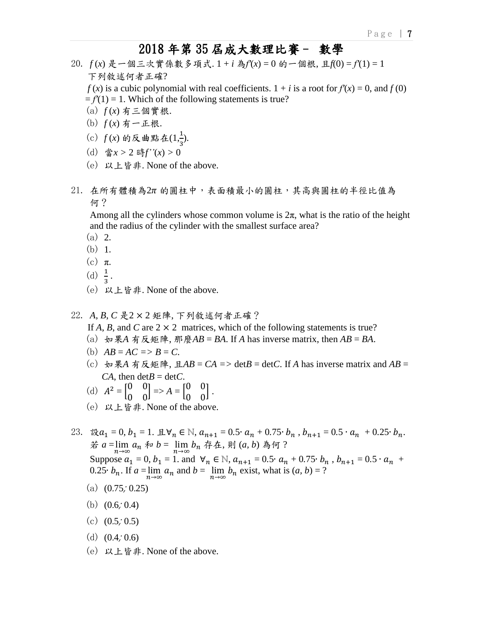- 20. *f* (*x*) 是一個三次實係數多項式. 1 + *i* 為*f′*(*x*) = 0 的一個根, 且*f*(0) = *f′*(1) = 1 下列敘述何者正確?
	- *f* (*x*) is a cubic polynomial with real coefficients.  $1 + i$  is a root for  $f'(x) = 0$ , and  $f(0)$
	- $= f'(1) = 1$ . Which of the following statements is true?
	- (a) *f* (*x*) 有三個實根.
	- (b) *f* (*x*) 有一正根.
- (c)  $f(x)$  的反曲點在 $(1, \frac{1}{3})$ .
	- (d) 當*x >* 2 時*f''*(*x*) *>* 0
	- (e) 以上皆非. None of the above.
- $21.$  在所有體積為 $2\pi$  的圓柱中,表面積最小的圓柱,其高與圓柱的半徑比值為 何?

Among all the cylinders whose common volume is  $2\pi$ , what is the ratio of the height and the radius of the cylinder with the smallest surface area?

- (a) 2.
- (b) 1.
- $(c)$   $\pi$ .
- (d)  $\frac{1}{3}$ .
	- (e) 以上皆非. None of the above.

#### 22. *A*, *B*, *C* 是2 × 2 矩陣, 下列敘述何者正確?

If *A*, *B*, and *C* are  $2 \times 2$  matrices, which of the following statements is true?

- (a) 如果*A* 有反矩陣, 那麼*AB* = *BA*. If *A* has inverse matrix, then  $AB = BA$ .
- (b)  $AB = AC \implies B = C$ .
- (c) 如果*A* 有反矩陣, 且*AB* = C*A* => det*B* = det*C*. If *A* has inverse matrix and *AB* = *CA*, then  $\det B = \det C$ .
- (d)  $A^2 = \begin{bmatrix} 0 & 0 \\ 0 & 0 \end{bmatrix}$  $\begin{bmatrix} 0 & 0 \\ 0 & 0 \end{bmatrix}$  => A =  $\begin{bmatrix} 0 & 0 \\ 0 & 0 \end{bmatrix}$  $\begin{bmatrix} 0 & 0 \\ 0 & 0 \end{bmatrix}$ .
	- (e) 以上皆非. None of the above.

23. 設 $a_1 = 0, b_1 = 1$ . 且 $\forall n \in \mathbb{N}, a_{n+1} = 0.5 \cdot a_n + 0.75 \cdot b_n$ ,  $b_{n+1} = 0.5 \cdot a_n + 0.25 \cdot b_n$ . <sup>若</sup> *<sup>a</sup>*<sup>=</sup> lim→∞ <sup>和</sup> *<sup>b</sup>*= lim→∞ 存在, 則 (*a, b*) 為何 ? Suppose  $a_1 = 0$ ,  $b_1 = 1$ . and  $\forall n \in \mathbb{N}$ ,  $a_{n+1} = 0.5 \cdot a_n + 0.75 \cdot b_n$ ,  $b_{n+1} = 0.5 \cdot a_n + 0.75 \cdot b_n$ 0.25⋅  $b_n$ . If  $a = \lim_{n \to \infty} a_n$  and  $b = \lim_{n \to \infty} b_n$  exist, what is  $(a, b) = ?$ 

- (a)  $(0.75, 0.25)$
- (b)  $(0.6, 0.4)$
- (c)  $(0.5, 0.5)$
- (d)  $(0.4, 0.6)$
- (e) 以上皆非. None of the above.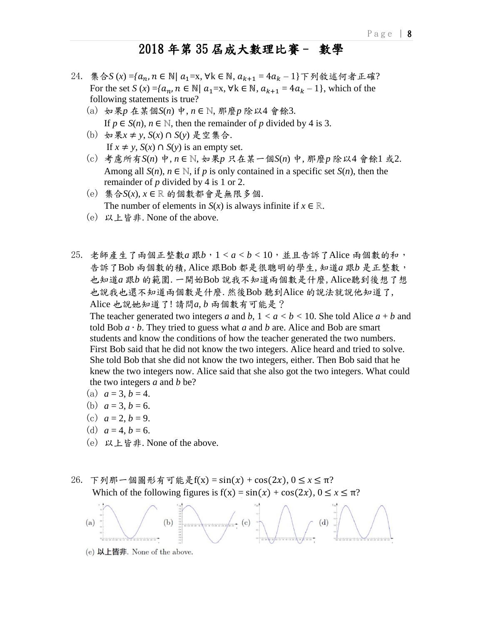- 24. 集合*S* (*x*) = { $a_n$ ,  $n \in \mathbb{N}$  |  $a_1$  = x,  $\forall k \in \mathbb{N}$ ,  $a_{k+1}$  =  $4a_k$  − 1 } 下列敘述何者正確? For the set *S*  $(x) = \{a_n, n \in \mathbb{N} \mid a_1 = x, \forall k \in \mathbb{N}, a_{k+1} = 4a_k - 1\}$ , which of the following statements is true?
	- (a) 如果*p* 在某個*S*(*n*) 中, *n* ∈ *ℕ*, 那麼*p* 除以4 會餘3. If  $p \in S(n)$ ,  $n \in \mathbb{N}$ , then the remainder of p divided by 4 is 3.
	- (b) 如果*x* ≠ *y*, *S*(*x*) ∩ *S*(*y*) 是空集合. If *x* ≠ *y*, *S*(*x*) ∩ *S*(*y*) is an empty set.
	- (c) 考慮所有*S*(*n*) 中, *n* ∈ *ℕ*, 如果*p* 只在某一個*S*(*n*) 中, 那麼*p* 除以4 會餘1 或2. Among all  $S(n)$ ,  $n \in \mathbb{N}$ , if p is only contained in a specific set  $S(n)$ , then the remainder of *p* divided by 4 is 1 or 2.
	- (e) 集合*S*(*x*), *x* ∈ *ℝ* 的個數都會是無限多個. The number of elements in *S*(*x*) is always infinite if  $x \in \mathbb{R}$ .
	- (e) 以上皆非. None of the above.
- 25. 老師產生了兩個正整數*a* 跟*b*,1 *< a < b <* 10,並且告訴了Alice 兩個數的和, 告訴了Bob 兩個數的積, Alice 跟Bob 都是很聰明的學生, 知道*a* 跟*b* 是正整數, 也知道*a* 跟*b* 的範圍. 一開始Bob 說我不知道兩個數是什麼, Alice聽到後想了想 也說我也還不知道兩個數是什麼. 然後Bob 聽到Alice 的說法就說他知道了, Alice 也說她知道了! 請問*a*, *b* 兩個數有可能是?

The teacher generated two integers *a* and *b*,  $1 < a < b < 10$ . She told Alice  $a + b$  and told Bob *a* ∙ *b*. They tried to guess what *a* and *b* are. Alice and Bob are smart students and know the conditions of how the teacher generated the two numbers. First Bob said that he did not know the two integers. Alice heard and tried to solve. She told Bob that she did not know the two integers, either. Then Bob said that he knew the two integers now. Alice said that she also got the two integers. What could the two integers *a* and *b* be?

- (a)  $a = 3, b = 4$ .
- (b)  $a = 3, b = 6.$
- (c)  $a = 2, b = 9.$
- (d)  $a = 4, b = 6.$
- (e) 以上皆非. None of the above.

### 26. 下列那一個圖形有可能是 $f(x) = sin(x) + cos(2x)$ ,  $0 \le x \le π$ ? Which of the following figures is  $f(x) = sin(x) + cos(2x), 0 \le x \le \pi$ ?



(e) 以上皆非. None of the above.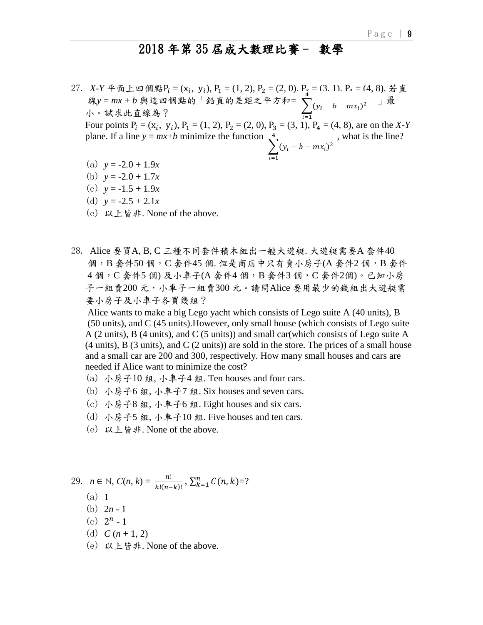$27.$  *X*-*Y* 平面上四個點 $P_i = (x_i, y_i), P_1 = (1, 2), P_2 = (2, 0), P_3 = (3, 1). P_4 = (4, 8).$ 若直 線y = mx + b 與這四個點的「鉛直的差距之平方和= √ (1 b mx )2 」最 小。試求此直線為?

Four points  $P_i = (x_i, y_i), P_1 = (1, 2), P_2 = (2, 0), P_3 = (3, 1), P_4 = (4, 8),$  are on the *X-Y* plane. If a line  $y = mx+b$  minimize the function  $\sum_{i=1}^{4} (y_i - b - mx_i)^2$ , what is the line?

- (a)  $y = -2.0 + 1.9x$
- (b)  $y = -2.0 + 1.7x$
- (c)  $y = -1.5 + 1.9x$
- (d)  $y = -2.5 + 2.1x$
- (e) 以上皆非. None of the above.
- 28. Alice 要買A, B, C 三種不同套件積木組出一艘大遊艇. 大遊艇需要A 套件40 個, B套件50個, C套件45個. 但是商店中只有賣小房子(A套件2個, B套件 4個, C套件5個)及小車子(A套件4個, B套件3個, C套件2個)。已知小房 子一組賣200元,小車子一組賣300元。請問Alice 要用最少的錢組出大遊艇需 要小房子及小車子各買幾組?

 Alice wants to make a big Lego yacht which consists of Lego suite A (40 units), B (50 units), and C (45 units).However, only small house (which consists of Lego suite A (2 units), B (4 units), and C (5 units)) and small car(which consists of Lego suite A  $(4 \text{ units})$ , B  $(3 \text{ units})$ , and C  $(2 \text{ units})$  are sold in the store. The prices of a small house and a small car are 200 and 300, respectively. How many small houses and cars are needed if Alice want to minimize the cost?

- (a) 小房子10 組, 小車子4 組. Ten houses and four cars.
- (b) 小房子6 組, 小車子7 組. Six houses and seven cars.
- (c) 小房子8 組, 小車子6 組. Eight houses and six cars.
- (d) 小房子5 組, 小車子10 組. Five houses and ten cars.
- (e) 以上皆非. None of the above.

29. 
$$
n \in \mathbb{N}
$$
,  $C(n, k) = \frac{n!}{k!(n-k)!}$ ,  $\sum_{k=1}^{n} C(n, k) = ?$ 

- (a) 1
- (b) 2*n -* 1
- (c)  $2^n 1$ 
	- (d)  $C (n + 1, 2)$
	- (e) 以上皆非. None of the above.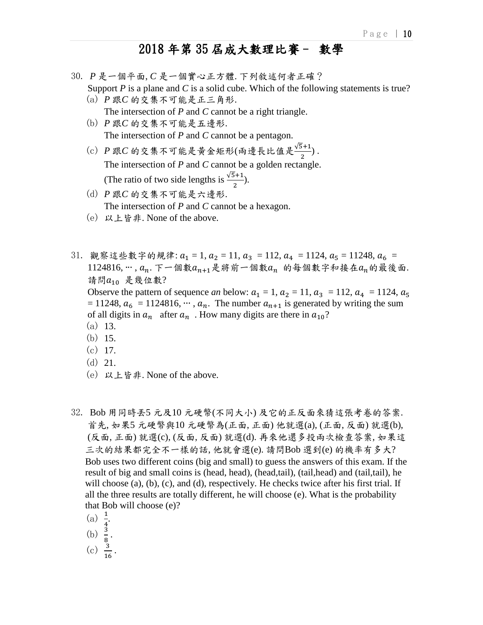- 30. *P* 是一個平面, *C* 是一個實心正方體. 下列敘述何者正確? Support *P* is a plane and *C* is a solid cube. Which of the following statements is true?
	- (a) *P* 跟*C* 的交集不可能是正三角形. The intersection of *P* and *C* cannot be a right triangle.
	- (b) *P* 跟*C* 的交集不可能是五邊形. The intersection of *P* and *C* cannot be a pentagon.
- (c) P 跟C 的交集不可能是黄金矩形(兩邊長比值是 → <del>5+1</del>). The intersection of *P* and *C* cannot be a golden rectangle. (The ratio of two side lengths is  $\frac{\sqrt{5}+1}{2}$ ).
	- (d) *P* 跟*C* 的交集不可能是六邊形. The intersection of *P* and *C* cannot be a hexagon.
	- (e) 以上皆非. None of the above.
- 31. 觀察這些數字的規律:  $a_1 = 1$ ,  $a_2 = 11$ ,  $a_3 = 112$ ,  $a_4 = 1124$ ,  $a_5 = 11248$ ,  $a_6 =$ 1124816, ···,  $a_n$ . 下一個數 $a_{n+1}$ 是將前一個數 $a_n$  的每個數字和接在 $a_n$ 的最後面. 請問 $a_{10}$  是幾位數? Observe the pattern of sequence *an* below:  $a_1 = 1$ ,  $a_2 = 11$ ,  $a_3 = 112$ ,  $a_4 = 1124$ ,  $a_5 = 1124$ = 11248,  $a_6$  = 1124816,  $\cdots$ ,  $a_n$ . The number  $a_{n+1}$  is generated by writing the sum of all digits in  $a_n$  after  $a_n$ . How many digits are there in  $a_{10}$ ? (a) 13. (b) 15. (c) 17.
	-
	- (d) 21.
	- (e) 以上皆非. None of the above.
- 32. Bob 用同時丟5 元及10 元硬幣(不同大小) 及它的正反面來猜這張考卷的答案. 首先, 如果5 元硬幣與10 元硬幣為(正面, 正面) 他就選(a), (正面, 反面) 就選(b), (反面, 正面) 就選(c), (反面, 反面) 就選(d). 再來他還多投兩次檢查答案, 如果這 三次的結果都完全不一樣的話, 他就會選(e). 請問Bob 選到(e) 的機率有多大? Bob uses two different coins (big and small) to guess the answers of this exam. If the result of big and small coins is (head, head), (head,tail), (tail,head) and (tail,tail), he will choose  $(a)$ ,  $(b)$ ,  $(c)$ , and  $(d)$ , respectively. He checks twice after his first trial. If all the three results are totally different, he will choose (e). What is the probability that Bob will choose (e)?
- (a)  $\frac{1}{4}$ .
- (b)  $\frac{3}{8}$ .
	-
- (c)  $\frac{3}{16}$ .